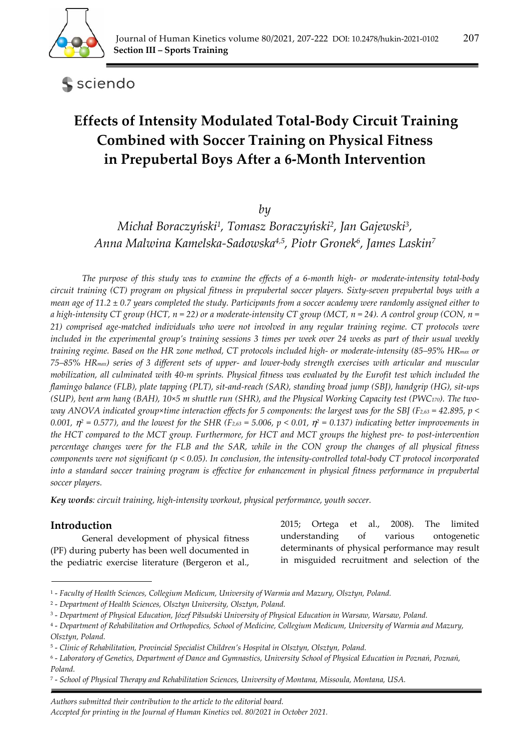

sciendo

# **Effects of Intensity Modulated Total-Body Circuit Training Combined with Soccer Training on Physical Fitness in Prepubertal Boys After a 6-Month Intervention**

*by* 

*Michał Boraczyński1, Tomasz Boraczyński2, Jan Gajewski3, Anna Malwina Kamelska-Sadowska4,5, Piotr Gronek6, James Laskin7*

*The purpose of this study was to examine the effects of a 6-month high- or moderate-intensity total-body circuit training (CT) program on physical fitness in prepubertal soccer players. Sixty-seven prepubertal boys with a mean age of 11.2 ± 0.7 years completed the study. Participants from a soccer academy were randomly assigned either to a high-intensity CT group (HCT, n* = 22) or a moderate-intensity CT group (MCT, n = 24). A control group (CON, n = *21) comprised age-matched individuals who were not involved in any regular training regime. CT protocols were included in the experimental group's training sessions 3 times per week over 24 weeks as part of their usual weekly training regime. Based on the HR zone method, CT protocols included high- or moderate-intensity (85–95% HRmax or 75–85% HRmax) series of 3 different sets of upper- and lower-body strength exercises with articular and muscular mobilization, all culminated with 40-m sprints. Physical fitness was evaluated by the Eurofit test which included the flamingo balance (FLB), plate tapping (PLT), sit-and-reach (SAR), standing broad jump (SBJ), handgrip (HG), sit-ups (SUP), bent arm hang (BAH), 10×5 m shuttle run (SHR), and the Physical Working Capacity test (PWC170). The twoway ANOVA indicated group×time interaction effects for 5 components: the largest was for the SBJ (F2,63 = 42.895, p < 0.001,*  $\eta^2 = 0.577$ *), and the lowest for the SHR (F<sub>2,63</sub> = 5.006, p < 0.01,*  $\eta^2 = 0.137$ *) indicating better improvements in the HCT compared to the MCT group. Furthermore, for HCT and MCT groups the highest pre- to post-intervention percentage changes were for the FLB and the SAR, while in the CON group the changes of all physical fitness components were not significant (p < 0.05). In conclusion, the intensity-controlled total-body CT protocol incorporated*  into a standard soccer training program is effective for enhancement in physical fitness performance in prepubertal *soccer players.* 

*Key words: circuit training, high-intensity workout, physical performance, youth soccer.* 

# **Introduction**

General development of physical fitness (PF) during puberty has been well documented in the pediatric exercise literature (Bergeron et al.,

2015; Ortega et al., 2008). The limited understanding of various ontogenetic determinants of physical performance may result in misguided recruitment and selection of the

*. Authors submitted their contribution to the article to the editorial board.* 

<sup>1 -</sup> *Faculty of Health Sciences, Collegium Medicum, University of Warmia and Mazury, Olsztyn, Poland.* 

<sup>2 -</sup> *Department of Health Sciences, Olsztyn University, Olsztyn, Poland.* 

<sup>3 -</sup> *Department of Physical Education, Józef Piłsudski University of Physical Education in Warsaw, Warsaw, Poland.* 

<sup>4 -</sup> *Department of Rehabilitation and Orthopedics, School of Medicine, Collegium Medicum, University of Warmia and Mazury, Olsztyn, Poland.* 

<sup>5 -</sup> *Clinic of Rehabilitation, Provincial Specialist Children's Hospital in Olsztyn, Olsztyn, Poland.* 

<sup>6 -</sup> *Laboratory of Genetics, Department of Dance and Gymnastics, University School of Physical Education in Poznań, Poznań, Poland.* 

<sup>7 -</sup> *School of Physical Therapy and Rehabilitation Sciences, University of Montana, Missoula, Montana, USA.* 

*Accepted for printing in the Journal of Human Kinetics vol. 80/2021 in October 2021.*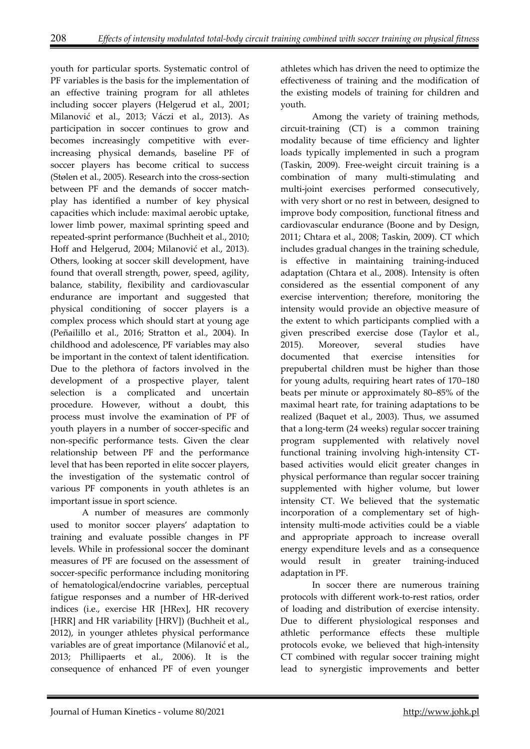youth for particular sports. Systematic control of PF variables is the basis for the implementation of an effective training program for all athletes including soccer players (Helgerud et al., 2001; Milanović et al., 2013; Váczi et al., 2013). As participation in soccer continues to grow and becomes increasingly competitive with everincreasing physical demands, baseline PF of soccer players has become critical to success (Stølen et al., 2005). Research into the cross-section between PF and the demands of soccer matchplay has identified a number of key physical capacities which include: maximal aerobic uptake, lower limb power, maximal sprinting speed and repeated-sprint performance (Buchheit et al., 2010; Hoff and Helgerud, 2004; Milanović et al., 2013). Others, looking at soccer skill development, have found that overall strength, power, speed, agility, balance, stability, flexibility and cardiovascular endurance are important and suggested that physical conditioning of soccer players is a complex process which should start at young age (Peñailillo et al., 2016; Stratton et al., 2004). In childhood and adolescence, PF variables may also be important in the context of talent identification. Due to the plethora of factors involved in the development of a prospective player, talent selection is a complicated and uncertain procedure. However, without a doubt, this process must involve the examination of PF of youth players in a number of soccer-specific and non-specific performance tests. Given the clear relationship between PF and the performance level that has been reported in elite soccer players, the investigation of the systematic control of various PF components in youth athletes is an important issue in sport science.

A number of measures are commonly used to monitor soccer players' adaptation to training and evaluate possible changes in PF levels. While in professional soccer the dominant measures of PF are focused on the assessment of soccer-specific performance including monitoring of hematological/endocrine variables, perceptual fatigue responses and a number of HR-derived indices (i.e., exercise HR [HRex], HR recovery [HRR] and HR variability [HRV]) (Buchheit et al., 2012), in younger athletes physical performance variables are of great importance (Milanović et al., 2013; Phillipaerts et al., 2006). It is the consequence of enhanced PF of even younger

athletes which has driven the need to optimize the effectiveness of training and the modification of the existing models of training for children and youth.

Among the variety of training methods, circuit-training (CT) is a common training modality because of time efficiency and lighter loads typically implemented in such a program (Taskin, 2009). Free-weight circuit training is a combination of many multi-stimulating and multi-joint exercises performed consecutively, with very short or no rest in between, designed to improve body composition, functional fitness and cardiovascular endurance (Boone and by Design, 2011; Chtara et al., 2008; Taskin, 2009). CT which includes gradual changes in the training schedule, is effective in maintaining training-induced adaptation (Chtara et al., 2008). Intensity is often considered as the essential component of any exercise intervention; therefore, monitoring the intensity would provide an objective measure of the extent to which participants complied with a given prescribed exercise dose (Taylor et al., 2015). Moreover, several studies have documented that exercise intensities for prepubertal children must be higher than those for young adults, requiring heart rates of 170–180 beats per minute or approximately 80–85% of the maximal heart rate, for training adaptations to be realized (Baquet et al., 2003). Thus, we assumed that a long-term (24 weeks) regular soccer training program supplemented with relatively novel functional training involving high-intensity CTbased activities would elicit greater changes in physical performance than regular soccer training supplemented with higher volume, but lower intensity CT. We believed that the systematic incorporation of a complementary set of highintensity multi-mode activities could be a viable and appropriate approach to increase overall energy expenditure levels and as a consequence would result in greater training-induced adaptation in PF.

In soccer there are numerous training protocols with different work-to-rest ratios, order of loading and distribution of exercise intensity. Due to different physiological responses and athletic performance effects these multiple protocols evoke, we believed that high-intensity CT combined with regular soccer training might lead to synergistic improvements and better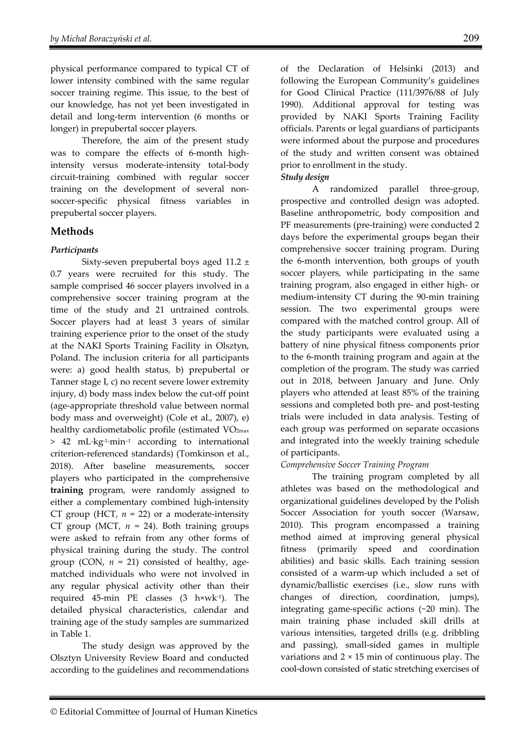physical performance compared to typical CT of lower intensity combined with the same regular soccer training regime. This issue, to the best of our knowledge, has not yet been investigated in detail and long-term intervention (6 months or longer) in prepubertal soccer players.

Therefore, the aim of the present study was to compare the effects of 6-month highintensity versus moderate-intensity total-body circuit-training combined with regular soccer training on the development of several nonsoccer-specific physical fitness variables in prepubertal soccer players.

# **Methods**

# *Participants*

Sixty-seven prepubertal boys aged 11.2 ± 0.7 years were recruited for this study. The sample comprised 46 soccer players involved in a comprehensive soccer training program at the time of the study and 21 untrained controls. Soccer players had at least 3 years of similar training experience prior to the onset of the study at the NAKI Sports Training Facility in Olsztyn, Poland. The inclusion criteria for all participants were: a) good health status, b) prepubertal or Tanner stage I, c) no recent severe lower extremity injury, d) body mass index below the cut-off point (age-appropriate threshold value between normal body mass and overweight) (Cole et al., 2007), e) healthy cardiometabolic profile (estimated VO<sub>2max</sub> > 42 mL∙kg-1∙min–1 according to international criterion-referenced standards) (Tomkinson et al., 2018). After baseline measurements, soccer players who participated in the comprehensive **training** program, were randomly assigned to either a complementary combined high-intensity CT group (HCT,  $n = 22$ ) or a moderate-intensity CT group (MCT,  $n = 24$ ). Both training groups were asked to refrain from any other forms of physical training during the study. The control group (CON,  $n = 21$ ) consisted of healthy, agematched individuals who were not involved in any regular physical activity other than their required 45-min PE classes (3 h×wk-1). The detailed physical characteristics, calendar and training age of the study samples are summarized in Table 1.

The study design was approved by the Olsztyn University Review Board and conducted according to the guidelines and recommendations of the Declaration of Helsinki (2013) and following the European Community's guidelines for Good Clinical Practice (111/3976/88 of July 1990). Additional approval for testing was provided by NAKI Sports Training Facility officials. Parents or legal guardians of participants were informed about the purpose and procedures of the study and written consent was obtained prior to enrollment in the study.

# *Study design*

A randomized parallel three-group, prospective and controlled design was adopted. Baseline anthropometric, body composition and PF measurements (pre-training) were conducted 2 days before the experimental groups began their comprehensive soccer training program. During the 6-month intervention, both groups of youth soccer players, while participating in the same training program, also engaged in either high- or medium-intensity CT during the 90-min training session. The two experimental groups were compared with the matched control group. All of the study participants were evaluated using a battery of nine physical fitness components prior to the 6-month training program and again at the completion of the program. The study was carried out in 2018, between January and June. Only players who attended at least 85% of the training sessions and completed both pre- and post-testing trials were included in data analysis. Testing of each group was performed on separate occasions and integrated into the weekly training schedule of participants.

# *Comprehensive Soccer Training Program*

The training program completed by all athletes was based on the methodological and organizational guidelines developed by the Polish Soccer Association for youth soccer (Warsaw, 2010). This program encompassed a training method aimed at improving general physical fitness (primarily speed and coordination abilities) and basic skills. Each training session consisted of a warm-up which included a set of dynamic/ballistic exercises (i.e., slow runs with changes of direction, coordination, jumps), integrating game-specific actions (~20 min). The main training phase included skill drills at various intensities, targeted drills (e.g. dribbling and passing), small-sided games in multiple variations and  $2 \times 15$  min of continuous play. The cool-down consisted of static stretching exercises of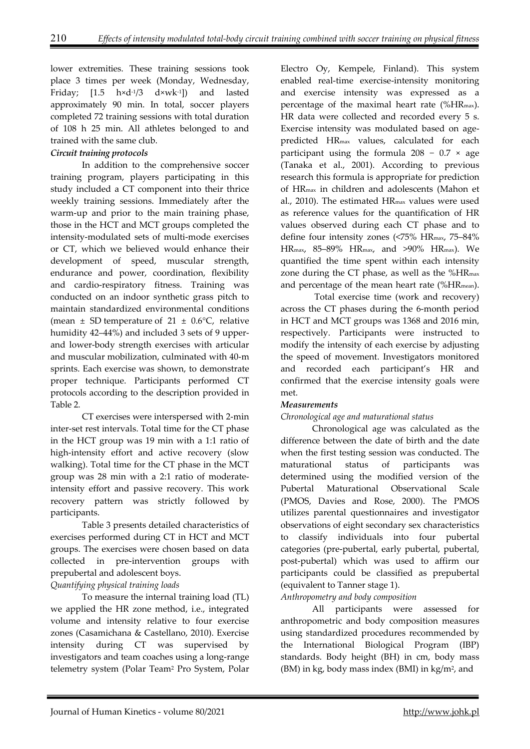lower extremities. These training sessions took place 3 times per week (Monday, Wednesday, Friday; [1.5  $h \times d^{-1/3}$   $d \times wk^{-1}$ ]) and lasted approximately 90 min. In total, soccer players completed 72 training sessions with total duration of 108 h 25 min. All athletes belonged to and trained with the same club.

# *Circuit training protocols*

In addition to the comprehensive soccer training program, players participating in this study included a CT component into their thrice weekly training sessions. Immediately after the warm-up and prior to the main training phase, those in the HCT and MCT groups completed the intensity-modulated sets of multi-mode exercises or CT, which we believed would enhance their development of speed, muscular strength, endurance and power, coordination, flexibility and cardio-respiratory fitness. Training was conducted on an indoor synthetic grass pitch to maintain standardized environmental conditions (mean  $\pm$  SD temperature of 21  $\pm$  0.6°C, relative humidity 42–44%) and included 3 sets of 9 upperand lower-body strength exercises with articular and muscular mobilization, culminated with 40-m sprints. Each exercise was shown, to demonstrate proper technique. Participants performed CT protocols according to the description provided in Table 2.

CT exercises were interspersed with 2-min inter-set rest intervals. Total time for the CT phase in the HCT group was 19 min with a 1:1 ratio of high-intensity effort and active recovery (slow walking). Total time for the CT phase in the MCT group was 28 min with a 2:1 ratio of moderateintensity effort and passive recovery. This work recovery pattern was strictly followed by participants.

Table 3 presents detailed characteristics of exercises performed during CT in HCT and MCT groups. The exercises were chosen based on data collected in pre-intervention groups with prepubertal and adolescent boys.

# *Quantifying physical training loads*

To measure the internal training load (TL) we applied the HR zone method, i.e., integrated volume and intensity relative to four exercise zones (Casamichana & Castellano, 2010). Exercise intensity during CT was supervised by investigators and team coaches using a long-range telemetry system (Polar Team2 Pro System, Polar

Electro Oy, Kempele, Finland). This system enabled real-time exercise-intensity monitoring and exercise intensity was expressed as a percentage of the maximal heart rate (%HRmax). HR data were collected and recorded every 5 s. Exercise intensity was modulated based on agepredicted HRmax values, calculated for each participant using the formula  $208 - 0.7 \times age$ (Tanaka et al., 2001). According to previous research this formula is appropriate for prediction of HRmax in children and adolescents (Mahon et al., 2010). The estimated HRmax values were used as reference values for the quantification of HR values observed during each CT phase and to define four intensity zones (<75% HRmax, 75–84% HRmax, 85–89% HRmax, and >90% HRmax). We quantified the time spent within each intensity zone during the CT phase, as well as the %HRmax and percentage of the mean heart rate (%HRmean).

 Total exercise time (work and recovery) across the CT phases during the 6-month period in HCT and MCT groups was 1368 and 2016 min, respectively. Participants were instructed to modify the intensity of each exercise by adjusting the speed of movement. Investigators monitored and recorded each participant's HR and confirmed that the exercise intensity goals were met.

# *Measurements*

# *Chronological age and maturational status*

Chronological age was calculated as the difference between the date of birth and the date when the first testing session was conducted. The maturational status of participants was determined using the modified version of the Pubertal Maturational Observational Scale (PMOS, Davies and Rose, 2000). The PMOS utilizes parental questionnaires and investigator observations of eight secondary sex characteristics to classify individuals into four pubertal categories (pre-pubertal, early pubertal, pubertal, post-pubertal) which was used to affirm our participants could be classified as prepubertal (equivalent to Tanner stage 1).

*Anthropometry and body composition* 

All participants were assessed for anthropometric and body composition measures using standardized procedures recommended by the International Biological Program (IBP) standards. Body height (BH) in cm, body mass  $(BM)$  in kg, body mass index  $(BMI)$  in kg/m<sup>2</sup>, and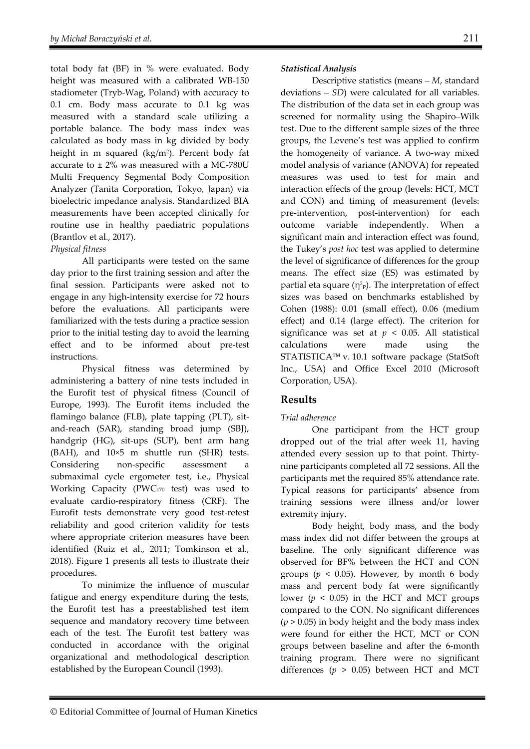total body fat (BF) in % were evaluated. Body height was measured with a calibrated WB-150 stadiometer (Tryb-Wag, Poland) with accuracy to 0.1 cm. Body mass accurate to 0.1 kg was measured with a standard scale utilizing a portable balance. The body mass index was calculated as body mass in kg divided by body height in m squared (kg/m2). Percent body fat accurate to  $\pm$  2% was measured with a MC-780U Multi Frequency Segmental Body Composition Analyzer (Tanita Corporation, Tokyo, Japan) via bioelectric impedance analysis. Standardized BIA measurements have been accepted clinically for routine use in healthy paediatric populations (Brantlov et al., 2017).

## *Physical fitness*

All participants were tested on the same day prior to the first training session and after the final session. Participants were asked not to engage in any high-intensity exercise for 72 hours before the evaluations. All participants were familiarized with the tests during a practice session prior to the initial testing day to avoid the learning effect and to be informed about pre-test instructions.

Physical fitness was determined by administering a battery of nine tests included in the Eurofit test of physical fitness (Council of Europe, 1993). The Eurofit items included the flamingo balance (FLB), plate tapping (PLT), sitand-reach (SAR), standing broad jump (SBJ), handgrip (HG), sit-ups (SUP), bent arm hang (BAH), and 10×5 m shuttle run (SHR) tests. Considering non-specific assessment a submaximal cycle ergometer test, i.e., Physical Working Capacity (PWC170 test) was used to evaluate cardio-respiratory fitness (CRF). The Eurofit tests demonstrate very good test-retest reliability and good criterion validity for tests where appropriate criterion measures have been identified (Ruiz et al., 2011; Tomkinson et al., 2018). Figure 1 presents all tests to illustrate their procedures.

To minimize the influence of muscular fatigue and energy expenditure during the tests, the Eurofit test has a preestablished test item sequence and mandatory recovery time between each of the test. The Eurofit test battery was conducted in accordance with the original organizational and methodological description established by the European Council (1993).

## *Statistical Analysis*

Descriptive statistics (means – *M*, standard deviations – *SD*) were calculated for all variables. The distribution of the data set in each group was screened for normality using the Shapiro–Wilk test. Due to the different sample sizes of the three groups, the Levene's test was applied to confirm the homogeneity of variance. A two-way mixed model analysis of variance (ANOVA) for repeated measures was used to test for main and interaction effects of the group (levels: HCT, MCT and CON) and timing of measurement (levels: pre-intervention, post-intervention) for each outcome variable independently. When a significant main and interaction effect was found, the Tukey's *post hoc* test was applied to determine the level of significance of differences for the group means. The effect size (ES) was estimated by partial eta square  $(\eta^2 p)$ . The interpretation of effect sizes was based on benchmarks established by Cohen (1988): 0.01 (small effect), 0.06 (medium effect) and 0.14 (large effect). The criterion for significance was set at  $p < 0.05$ . All statistical calculations were made using the STATISTICA™ v. 10.1 software package (StatSoft Inc., USA) and Office Excel 2010 (Microsoft Corporation, USA).

# **Results**

# *Trial adherence*

One participant from the HCT group dropped out of the trial after week 11, having attended every session up to that point. Thirtynine participants completed all 72 sessions. All the participants met the required 85% attendance rate. Typical reasons for participants' absence from training sessions were illness and/or lower extremity injury.

Body height, body mass, and the body mass index did not differ between the groups at baseline. The only significant difference was observed for BF% between the HCT and CON groups ( $p < 0.05$ ). However, by month 6 body mass and percent body fat were significantly lower ( $p < 0.05$ ) in the HCT and MCT groups compared to the CON. No significant differences  $(p > 0.05)$  in body height and the body mass index were found for either the HCT, MCT or CON groups between baseline and after the 6-month training program. There were no significant differences ( $p > 0.05$ ) between HCT and MCT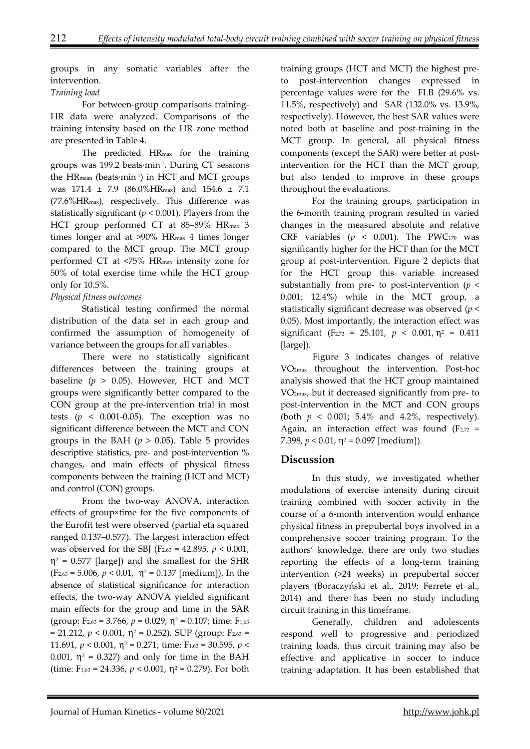groups in any somatic variables after the intervention.

## *Training load*

For between-group comparisons training-HR data were analyzed. Comparisons of the training intensity based on the HR zone method are presented in Table 4.

The predicted HRmax for the training groups was 199.2 beats∙min-1. During CT sessions the HRmean (beats∙min-1) in HCT and MCT groups was 171.4 ± 7.9 (86.0%HRmax) and 154.6 ± 7.1 (77.6%HRmax), respectively. This difference was statistically significant ( $p < 0.001$ ). Players from the HCT group performed CT at 85–89% HRmax 3 times longer and at >90% HRmax 4 times longer compared to the MCT group. The MCT group performed CT at <75% HRmax intensity zone for 50% of total exercise time while the HCT group only for 10.5%.

## *Physical fitness outcomes*

Statistical testing confirmed the normal distribution of the data set in each group and confirmed the assumption of homogeneity of variance between the groups for all variables.

There were no statistically significant differences between the training groups at baseline  $(p > 0.05)$ . However, HCT and MCT groups were significantly better compared to the CON group at the pre-intervention trial in most tests ( $p \leq 0.001 - 0.05$ ). The exception was no significant difference between the MCT and CON groups in the BAH  $(p > 0.05)$ . Table 5 provides descriptive statistics, pre- and post-intervention % changes, and main effects of physical fitness components between the training (HCT and MCT) and control (CON) groups.

From the two-way ANOVA, interaction effects of group×time for the five components of the Eurofit test were observed (partial eta squared ranged 0.137–0.577). The largest interaction effect was observed for the SBJ (F2,63 = 42.895, *p* < 0.001,  $\eta^2$  = 0.577 [large]) and the smallest for the SHR  $(F_{2,63} = 5.006, p < 0.01, \eta^2 = 0.137$  [medium]). In the absence of statistical significance for interaction effects, the two-way ANOVA yielded significant main effects for the group and time in the SAR (group:  $F_{2,63} = 3.766$ ,  $p = 0.029$ ,  $\eta^2 = 0.107$ ; time:  $F_{1,63}$  $= 21.212$ ,  $p < 0.001$ ,  $\eta^2 = 0.252$ ), SUP (group:  $F_{2,63} =$ 11.691,  $p < 0.001$ ,  $\eta^2 = 0.271$ ; time:  $F_{1,63} = 30.595$ ,  $p <$ 0.001,  $\eta^2 = 0.327$ ) and only for time in the BAH (time:  $F_{1,63} = 24.336$ ,  $p < 0.001$ ,  $p^2 = 0.279$ ). For both

training groups (HCT and MCT) the highest preto post-intervention changes expressed in percentage values were for the FLB (29.6% vs. 11.5%, respectively) and SAR (132.0% vs. 13.9%, respectively). However, the best SAR values were noted both at baseline and post-training in the MCT group. In general, all physical fitness components (except the SAR) were better at postintervention for the HCT than the MCT group, but also tended to improve in these groups throughout the evaluations.

For the training groups, participation in the 6-month training program resulted in varied changes in the measured absolute and relative CRF variables  $(p \lt 0.001)$ . The PWC170 was significantly higher for the HCT than for the MCT group at post-intervention. Figure 2 depicts that for the HCT group this variable increased substantially from pre- to post-intervention ( $p <$ 0.001; 12.4%) while in the MCT group, a statistically significant decrease was observed (*p* < 0.05). Most importantly, the interaction effect was significant (F<sub>2,72</sub> = 25.101,  $p < 0.001$ ,  $p<sup>2</sup> = 0.411$ [large]).

Figure 3 indicates changes of relative VO2max throughout the intervention. Post-hoc analysis showed that the HCT group maintained VO2max, but it decreased significantly from pre- to post-intervention in the MCT and CON groups (both  $p < 0.001$ ; 5.4% and 4.2%, respectively). Again, an interaction effect was found  $(F_{2,72} =$ 7.398,  $p < 0.01$ ,  $\eta^2 = 0.097$  [medium]).

# **Discussion**

In this study, we investigated whether modulations of exercise intensity during circuit training combined with soccer activity in the course of a 6-month intervention would enhance physical fitness in prepubertal boys involved in a comprehensive soccer training program. To the authors' knowledge, there are only two studies reporting the effects of a long-term training intervention (>24 weeks) in prepubertal soccer players (Boraczyński et al., 2019; Ferrete et al., 2014) and there has been no study including circuit training in this timeframe.

Generally, children and adolescents respond well to progressive and periodized training loads, thus circuit training may also be effective and applicative in soccer to induce training adaptation. It has been established that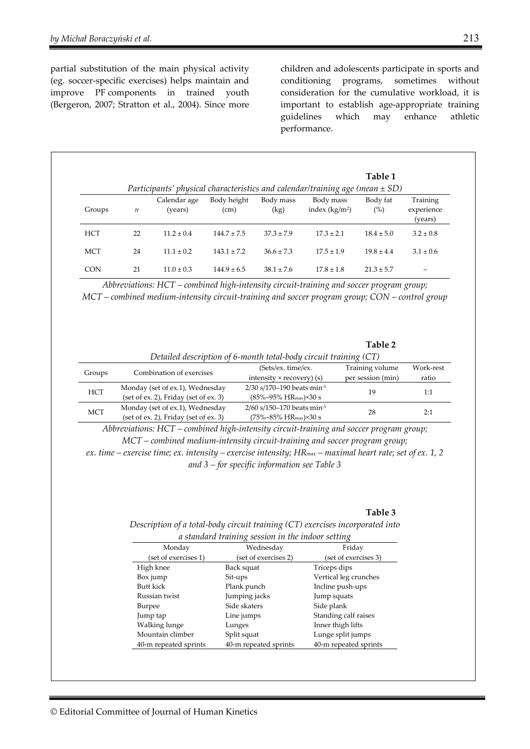partial substitution of the main physical activity (eg. soccer-specific exercises) helps maintain and improve PF components in trained youth (Bergeron, 2007; Stratton et al., 2004). Since more

children and adolescents participate in sports and conditioning programs, sometimes without consideration for the cumulative workload, it is important to establish age-appropriate training guidelines which may enhance athletic performance.

|            |                  |                         |                     |                   | Participants' physical characteristics and calendar/training age (mean $\pm$ SD) | Table 1         |                                   |
|------------|------------------|-------------------------|---------------------|-------------------|----------------------------------------------------------------------------------|-----------------|-----------------------------------|
| Groups     | $\boldsymbol{n}$ | Calendar age<br>(years) | Body height<br>(cm) | Body mass<br>(kg) | Body mass<br>index $(kg/m2)$                                                     | Body fat<br>(%) | Training<br>experience<br>(years) |
| <b>HCT</b> | 22               | $11.2 \pm 0.4$          | $144.7 \pm 7.5$     | $37.3 \pm 7.9$    | $17.3 \pm 2.1$                                                                   | $18.4 \pm 5.0$  | $3.2 \pm 0.8$                     |
| <b>MCT</b> | 24               | $11.1 \pm 0.2$          | $143.1 \pm 7.2$     | $36.6 \pm 7.3$    | $175 + 19$                                                                       | $19.8 \pm 4.4$  | $3.1 \pm 0.6$                     |
| <b>CON</b> | 21               | $11.0 \pm 0.3$          | $144.9 \pm 6.5$     | $38.1 \pm 7.6$    | $17.8 \pm 1.8$                                                                   | $21.3 \pm 5.7$  |                                   |

*Abbreviations: HCT – combined high-intensity circuit-training and soccer program group; MCT – combined medium-intensity circuit-training and soccer program group; CON – control group* 

## **Table 2**

| Detailed description of 6-month total-body circuit training (CT) |                                       |                                                  |                   |           |  |  |  |
|------------------------------------------------------------------|---------------------------------------|--------------------------------------------------|-------------------|-----------|--|--|--|
| Groups                                                           | Combination of exercises              | (Sets/ex. time/ex.                               | Training volume   | Work-rest |  |  |  |
|                                                                  |                                       | intensity $\times$ recovery) (s)                 | per session (min) | ratio     |  |  |  |
| <b>HCT</b>                                                       | Monday (set of ex.1), Wednesday       | 2/30 s/170-190 beats $min^{-1}$                  | 19                | 1:1       |  |  |  |
|                                                                  | (set of ex. 2), Friday (set of ex. 3) | $(85\% - 95\%$ HR <sub>max</sub> $) \times 30$ s |                   |           |  |  |  |
| <b>MCT</b>                                                       | Monday (set of ex.1), Wednesday       | 2/60 s/150-170 beats min-1                       | 28                | 2:1       |  |  |  |
|                                                                  | (set of ex. 2), Friday (set of ex. 3) | $(75\% - 85\%$ HR <sub>max</sub> $) \times 30$ s |                   |           |  |  |  |

*Abbreviations: HCT – combined high-intensity circuit-training and soccer program group; MCT – combined medium-intensity circuit-training and soccer program group; ex. time – exercise time; ex. intensity – exercise intensity; HRmax – maximal heart rate; set of ex. 1, 2 and 3 – for specific information see Table 3* 

**Table 3** 

*Description of a total-body circuit training (CT) exercises incorporated into a standard training session in the indoor setting* 

| a sumum a mining session in the masor setting |                       |                       |  |  |  |  |
|-----------------------------------------------|-----------------------|-----------------------|--|--|--|--|
| Monday                                        | Wednesday             | Friday                |  |  |  |  |
| (set of exercises 1)                          | (set of exercises 2)  | (set of exercises 3)  |  |  |  |  |
| High knee                                     | Back squat            | Triceps dips          |  |  |  |  |
| Box jump                                      | Sit-ups               | Vertical leg crunches |  |  |  |  |
| <b>Butt kick</b>                              | Plank punch           | Incline push-ups      |  |  |  |  |
| Russian twist                                 | Jumping jacks         | Jump squats           |  |  |  |  |
| Burpee                                        | Side skaters          | Side plank            |  |  |  |  |
| Jump tap                                      | Line jumps            | Standing calf raises  |  |  |  |  |
| Walking lunge                                 | Lunges                | Inner thigh lifts     |  |  |  |  |
| Mountain climber                              | Split squat           | Lunge split jumps     |  |  |  |  |
| 40-m repeated sprints                         | 40-m repeated sprints | 40-m repeated sprints |  |  |  |  |
|                                               |                       |                       |  |  |  |  |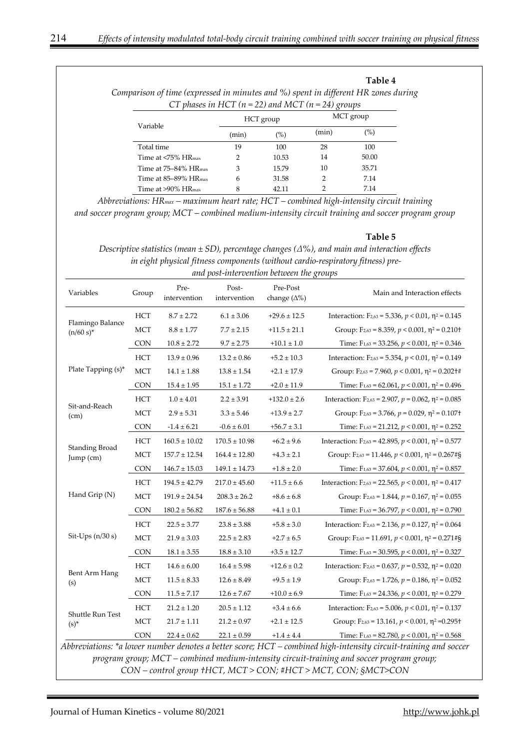#### **Table 4**

*Comparison of time (expressed in minutes and %) spent in different HR zones during CT phases in HCT (n = 22) and MCT (n = 24) groups* 

| Variable                            |       | HCT group | MCT group |       |  |
|-------------------------------------|-------|-----------|-----------|-------|--|
|                                     | (min) | $(\%)$    | (min)     | (%)   |  |
| Total time                          | 19    | 100       | 28        | 100   |  |
| Time at <75% HR <sub>max</sub>      | 2     | 10.53     | 14        | 50.00 |  |
| Time at $75-84\%$ HR <sub>max</sub> | 3     | 15.79     | 10        | 35.71 |  |
| Time at 85–89% HR <sub>max</sub>    | 6     | 31.58     | 2         | 7.14  |  |
| Time at $>90\%$ HR <sub>max</sub>   |       | 42.11     |           | 7.14  |  |

*Abbreviations: HRmax – maximum heart rate; HCT – combined high-intensity circuit training and soccer program group; MCT – combined medium-intensity circuit training and soccer program group* 

#### **Table 5**

*Descriptive statistics (mean ± SD), percentage changes (∆%), and main and interaction effects in eight physical fitness components (without cardio-respiratory fitness) preand post-intervention between the groups* 

| Variables                          | Group      | Pre-<br>intervention | Post-<br>intervention | Pre-Post<br>change $(\Delta\%)$ | Main and Interaction effects                                                                                                                                                                                                                                                       |
|------------------------------------|------------|----------------------|-----------------------|---------------------------------|------------------------------------------------------------------------------------------------------------------------------------------------------------------------------------------------------------------------------------------------------------------------------------|
| Flamingo Balance<br>$(n/60 s)^*$   | HCT        | $8.7 \pm 2.72$       | $6.1 \pm 3.06$        | $+29.6 \pm 12.5$                | Interaction: $F_{2,63} = 5.336$ , $p < 0.01$ , $\eta^2 = 0.145$                                                                                                                                                                                                                    |
|                                    | MCT        | $8.8 \pm 1.77$       | $7.7 \pm 2.15$        | $+11.5 \pm 21.1$                | Group: $F_{2,63} = 8.359$ , $p < 0.001$ , $\eta^2 = 0.210$ t                                                                                                                                                                                                                       |
|                                    | <b>CON</b> | $10.8 \pm 2.72$      | $9.7 \pm 2.75$        | $+10.1\pm1.0$                   | Time: $F_{1,63} = 33.256$ , $p < 0.001$ , $\eta^2 = 0.346$                                                                                                                                                                                                                         |
| Plate Tapping (s)*                 | HCT        | $13.9 \pm 0.96$      | $13.2 \pm 0.86$       | $+5.2 \pm 10.3$                 | Interaction: $F_{2,63} = 5.354$ , $p < 0.01$ , $p^2 = 0.149$                                                                                                                                                                                                                       |
|                                    | MCT        | $14.1 \pm 1.88$      | $13.8 \pm 1.54$       | $+2.1 \pm 17.9$                 | Group: $F_{2,63} = 7.960$ , $p < 0.001$ , $\eta^2 = 0.202 + \#$                                                                                                                                                                                                                    |
|                                    | <b>CON</b> | $15.4 \pm 1.95$      | $15.1 \pm 1.72$       | $+2.0 \pm 11.9$                 | Time: $F_{1,63} = 62.061$ , $p < 0.001$ , $\eta^2 = 0.496$                                                                                                                                                                                                                         |
|                                    | HCT        | $1.0 \pm 4.01$       | $2.2 \pm 3.91$        | $+132.0 \pm 2.6$                | Interaction: $F_{2,63} = 2.907$ , $p = 0.062$ , $\eta^2 = 0.085$                                                                                                                                                                                                                   |
| Sit-and-Reach<br>(cm)              | MCT        | $2.9 \pm 5.31$       | $3.3 \pm 5.46$        | $+13.9 \pm 2.7$                 | Group: $F_{2,63} = 3.766$ , $p = 0.029$ , $\eta^2 = 0.107$ +                                                                                                                                                                                                                       |
|                                    | <b>CON</b> | $-1.4 \pm 6.21$      | $-0.6 \pm 6.01$       | $+56.7 \pm 3.1$                 | Time: $F_{1,63} = 21.212$ , $p < 0.001$ , $\eta^2 = 0.252$                                                                                                                                                                                                                         |
|                                    | <b>HCT</b> | $160.5 \pm 10.02$    | $170.5 \pm 10.98$     | $+6.2 \pm 9.6$                  | Interaction: $F_{2,63} = 42.895$ , $p < 0.001$ , $p^2 = 0.577$                                                                                                                                                                                                                     |
| <b>Standing Broad</b><br>Jump (cm) | <b>MCT</b> | $157.7 \pm 12.54$    | $164.4 \pm 12.80$     | $+4.3 \pm 2.1$                  | Group: $F_{2,63} = 11.446$ , $p < 0.001$ , $\eta^2 = 0.267 \# \xi$                                                                                                                                                                                                                 |
|                                    | <b>CON</b> | $146.7 \pm 15.03$    | $149.1\pm14.73$       | $+1.8 \pm 2.0$                  | Time: $F_{1,63} = 37.604$ , $p < 0.001$ , $\eta^2 = 0.857$                                                                                                                                                                                                                         |
|                                    | <b>HCT</b> | $194.5 \pm 42.79$    | $217.0 \pm 45.60$     | $+11.5 \pm 6.6$                 | Interaction: $F_{2,63} = 22.565$ , $p < 0.001$ , $p^2 = 0.417$                                                                                                                                                                                                                     |
| Hand Grip (N)                      | <b>MCT</b> | $191.9 \pm 24.54$    | $208.3 \pm 26.2$      | $+8.6 \pm 6.8$                  | Group: $F_{2,63} = 1.844$ , $p = 0.167$ , $\eta^2 = 0.055$                                                                                                                                                                                                                         |
|                                    | <b>CON</b> | $180.2 \pm 56.82$    | $187.6 \pm 56.88$     | $+4.1 \pm 0.1$                  | Time: $F_{1,63} = 36.797$ , $p < 0.001$ , $\eta^2 = 0.790$                                                                                                                                                                                                                         |
| Sit-Ups $(n/30 s)$                 | HCT        | $22.5 \pm 3.77$      | $23.8 \pm 3.88$       | $+5.8 \pm 3.0$                  | Interaction: F <sub>2,63</sub> = 2.136, $p = 0.127$ , $\eta^2 = 0.064$                                                                                                                                                                                                             |
|                                    | <b>MCT</b> | $21.9 \pm 3.03$      | $22.5 \pm 2.83$       | $+2.7 \pm 6.5$                  | Group: $F_{2,63} = 11.691$ , $p < 0.001$ , $\eta^2 = 0.271 \# \S$                                                                                                                                                                                                                  |
|                                    | <b>CON</b> | $18.1 \pm 3.55$      | $18.8 \pm 3.10$       | $+3.5 \pm 12.7$                 | Time: $F_{1,63} = 30.595$ , $p < 0.001$ , $\eta^2 = 0.327$                                                                                                                                                                                                                         |
| Bent Arm Hang<br>(s)               | HCT        | $14.6 \pm 6.00$      | $16.4 \pm 5.98$       | $+12.6 \pm 0.2$                 | Interaction: F <sub>2,63</sub> = 0.637, $p = 0.532$ , $\eta^2 = 0.020$                                                                                                                                                                                                             |
|                                    | <b>MCT</b> | $11.5 \pm 8.33$      | $12.6 \pm 8.49$       | $+9.5 \pm 1.9$                  | Group: $F_{2,63} = 1.726$ , $p = 0.186$ , $\eta^2 = 0.052$                                                                                                                                                                                                                         |
|                                    | <b>CON</b> | $11.5 \pm 7.17$      | $12.6 \pm 7.67$       | $+10.0 \pm 6.9$                 | Time: $F_{1,63} = 24.336$ , $p < 0.001$ , $\eta^2 = 0.279$                                                                                                                                                                                                                         |
| Shuttle Run Test<br>$(s)^*$        | HCT        | $21.2 \pm 1.20$      | $20.5 \pm 1.12$       | $+3.4 \pm 6.6$                  | Interaction: $F_{2,63} = 5.006$ , $p < 0.01$ , $p^2 = 0.137$                                                                                                                                                                                                                       |
|                                    | <b>MCT</b> | $21.7 \pm 1.11$      | $21.2 \pm 0.97$       | $+2.1 \pm 12.5$                 | Group: $F_{2,63} = 13.161$ , $p < 0.001$ , $p^2 = 0.295$ +                                                                                                                                                                                                                         |
|                                    | <b>CON</b> | $22.4 \pm 0.62$      | $22.1 \pm 0.59$       | $+1.4 \pm 4.4$                  | Time: $F_{1,63} = 82.780$ , $p < 0.001$ , $\eta^2 = 0.568$                                                                                                                                                                                                                         |
|                                    |            |                      |                       |                                 | Abbreviations: *a lower number denotes a better score; HCT – combined high-intensity circuit-training and soccer<br>program group; MCT – combined medium-intensity circuit-training and soccer program group;<br>$CON$ and $A$ and $AICT$ $MCT$ , $CON$ $HICT$ , $MCT$ $CON$ $CON$ |

*CON – control group †HCT, MCT > CON; #HCT > MCT, CON; §MCT>CON*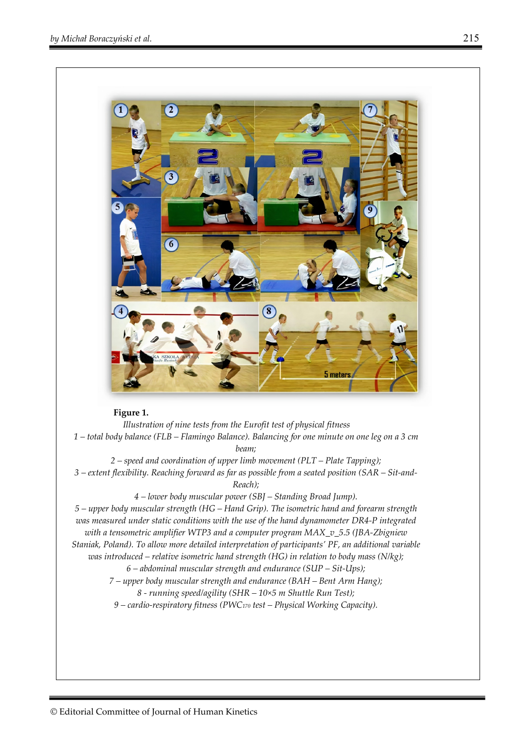

## **Figure 1.**

*Illustration of nine tests from the Eurofit test of physical fitness 1 – total body balance (FLB – Flamingo Balance). Balancing for one minute on one leg on a 3 cm beam; 2 – speed and coordination of upper limb movement (PLT – Plate Tapping); 3 – extent flexibility. Reaching forward as far as possible from a seated position (SAR – Sit-and-Reach); 4 – lower body muscular power (SBJ – Standing Broad Jump). 5 – upper body muscular strength (HG – Hand Grip). The isometric hand and forearm strength was measured under static conditions with the use of the hand dynamometer DR4-P integrated with a tensometric amplifier WTP3 and a computer program MAX\_v\_5.5 (JBA-Zbigniew Staniak, Poland). To allow more detailed interpretation of participants' PF, an additional variable was introduced – relative isometric hand strength (HG) in relation to body mass (N/kg); 6 – abdominal muscular strength and endurance (SUP – Sit-Ups); 7 – upper body muscular strength and endurance (BAH – Bent Arm Hang);* 

*8 - running speed/agility (SHR – 10×5 m Shuttle Run Test);* 

*9 – cardio-respiratory fitness (PWC170 test – Physical Working Capacity).*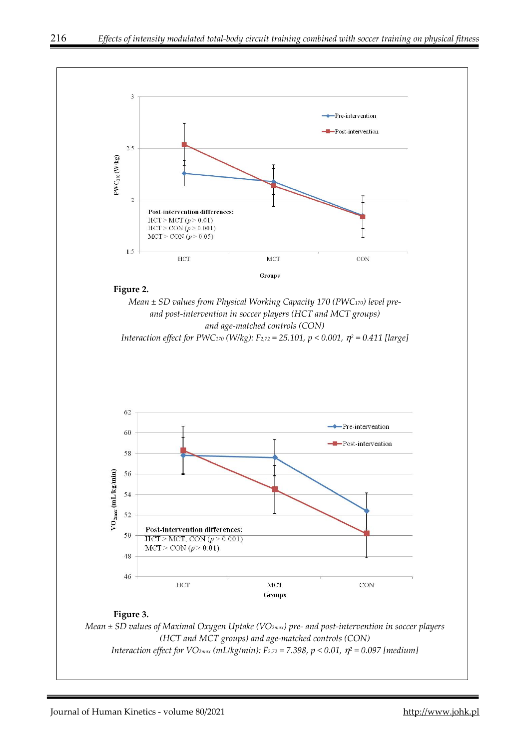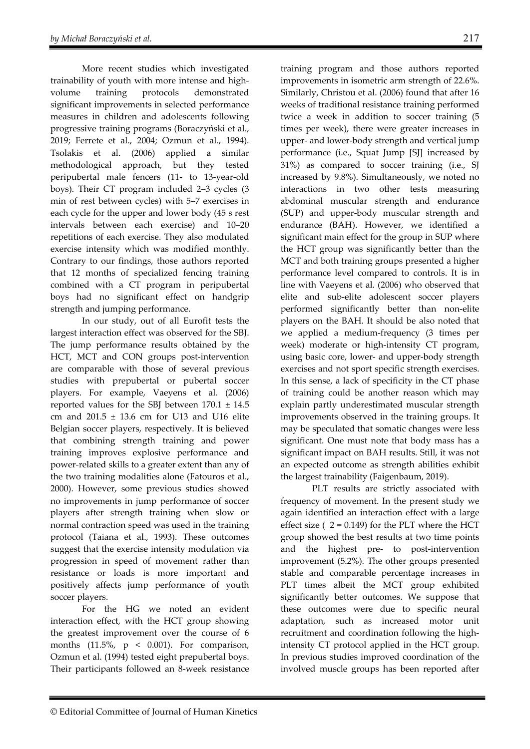More recent studies which investigated trainability of youth with more intense and highvolume training protocols demonstrated significant improvements in selected performance measures in children and adolescents following progressive training programs (Boraczyński et al., 2019; Ferrete et al., 2004; Ozmun et al., 1994). Tsolakis et al. (2006) applied a similar methodological approach, but they tested peripubertal male fencers (11- to 13-year-old boys). Their CT program included 2–3 cycles (3 min of rest between cycles) with 5–7 exercises in each cycle for the upper and lower body (45 s rest intervals between each exercise) and 10–20 repetitions of each exercise. They also modulated exercise intensity which was modified monthly. Contrary to our findings, those authors reported that 12 months of specialized fencing training combined with a CT program in peripubertal boys had no significant effect on handgrip strength and jumping performance.

In our study, out of all Eurofit tests the largest interaction effect was observed for the SBJ. The jump performance results obtained by the HCT, MCT and CON groups post-intervention are comparable with those of several previous studies with prepubertal or pubertal soccer players. For example, Vaeyens et al. (2006) reported values for the SBJ between  $170.1 \pm 14.5$ cm and  $201.5 \pm 13.6$  cm for U13 and U16 elite Belgian soccer players, respectively. It is believed that combining strength training and power training improves explosive performance and power-related skills to a greater extent than any of the two training modalities alone (Fatouros et al., 2000). However, some previous studies showed no improvements in jump performance of soccer players after strength training when slow or normal contraction speed was used in the training protocol (Taiana et al., 1993). These outcomes suggest that the exercise intensity modulation via progression in speed of movement rather than resistance or loads is more important and positively affects jump performance of youth soccer players.

For the HG we noted an evident interaction effect, with the HCT group showing the greatest improvement over the course of 6 months  $(11.5\%, p < 0.001)$ . For comparison, Ozmun et al. (1994) tested eight prepubertal boys. Their participants followed an 8-week resistance

training program and those authors reported improvements in isometric arm strength of 22.6%. Similarly, Christou et al. (2006) found that after 16 weeks of traditional resistance training performed twice a week in addition to soccer training (5 times per week), there were greater increases in upper- and lower-body strength and vertical jump performance (i.e., Squat Jump [SJ] increased by 31%) as compared to soccer training (i.e., SJ increased by 9.8%). Simultaneously, we noted no interactions in two other tests measuring abdominal muscular strength and endurance (SUP) and upper-body muscular strength and endurance (BAH). However, we identified a significant main effect for the group in SUP where the HCT group was significantly better than the MCT and both training groups presented a higher performance level compared to controls. It is in line with Vaeyens et al. (2006) who observed that elite and sub-elite adolescent soccer players performed significantly better than non-elite players on the BAH. It should be also noted that we applied a medium-frequency (3 times per week) moderate or high-intensity CT program, using basic core, lower- and upper-body strength exercises and not sport specific strength exercises. In this sense, a lack of specificity in the CT phase of training could be another reason which may explain partly underestimated muscular strength improvements observed in the training groups. It may be speculated that somatic changes were less significant. One must note that body mass has a significant impact on BAH results. Still, it was not an expected outcome as strength abilities exhibit the largest trainability (Faigenbaum, 2019).

PLT results are strictly associated with frequency of movement. In the present study we again identified an interaction effect with a large effect size  $(2 = 0.149)$  for the PLT where the HCT group showed the best results at two time points and the highest pre- to post-intervention improvement (5.2%). The other groups presented stable and comparable percentage increases in PLT times albeit the MCT group exhibited significantly better outcomes. We suppose that these outcomes were due to specific neural adaptation, such as increased motor unit recruitment and coordination following the highintensity CT protocol applied in the HCT group. In previous studies improved coordination of the involved muscle groups has been reported after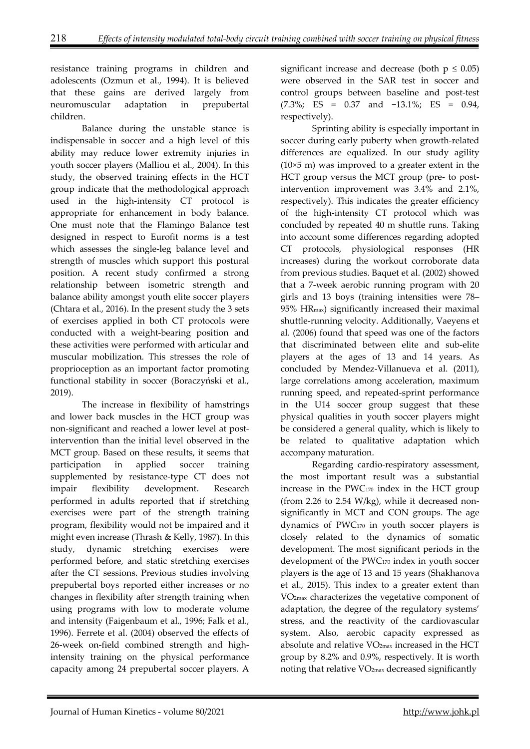resistance training programs in children and adolescents (Ozmun et al., 1994). It is believed that these gains are derived largely from neuromuscular adaptation in prepubertal children.

Balance during the unstable stance is indispensable in soccer and a high level of this ability may reduce lower extremity injuries in youth soccer players (Malliou et al., 2004). In this study, the observed training effects in the HCT group indicate that the methodological approach used in the high-intensity CT protocol is appropriate for enhancement in body balance. One must note that the Flamingo Balance test designed in respect to Eurofit norms is a test which assesses the single-leg balance level and strength of muscles which support this postural position. A recent study confirmed a strong relationship between isometric strength and balance ability amongst youth elite soccer players (Chtara et al., 2016). In the present study the 3 sets of exercises applied in both CT protocols were conducted with a weight-bearing position and these activities were performed with articular and muscular mobilization. This stresses the role of proprioception as an important factor promoting functional stability in soccer (Boraczyński et al., 2019).

The increase in flexibility of hamstrings and lower back muscles in the HCT group was non-significant and reached a lower level at postintervention than the initial level observed in the MCT group. Based on these results, it seems that participation in applied soccer training supplemented by resistance-type CT does not impair flexibility development. Research performed in adults reported that if stretching exercises were part of the strength training program, flexibility would not be impaired and it might even increase (Thrash & Kelly, 1987). In this study, dynamic stretching exercises were performed before, and static stretching exercises after the CT sessions. Previous studies involving prepubertal boys reported either increases or no changes in flexibility after strength training when using programs with low to moderate volume and intensity (Faigenbaum et al., 1996; Falk et al., 1996). Ferrete et al. (2004) observed the effects of 26-week on-field combined strength and highintensity training on the physical performance capacity among 24 prepubertal soccer players. A

significant increase and decrease (both  $p \leq 0.05$ ) were observed in the SAR test in soccer and control groups between baseline and post-test (7.3%; ES = 0.37 and −13.1%; ES = 0.94, respectively).

Sprinting ability is especially important in soccer during early puberty when growth-related differences are equalized. In our study agility (10×5 m) was improved to a greater extent in the HCT group versus the MCT group (pre- to postintervention improvement was 3.4% and 2.1%, respectively). This indicates the greater efficiency of the high-intensity CT protocol which was concluded by repeated 40 m shuttle runs. Taking into account some differences regarding adopted CT protocols, physiological responses (HR increases) during the workout corroborate data from previous studies. Baquet et al. (2002) showed that a 7-week aerobic running program with 20 girls and 13 boys (training intensities were 78– 95% HRmax) significantly increased their maximal shuttle-running velocity. Additionally, Vaeyens et al. (2006) found that speed was one of the factors that discriminated between elite and sub-elite players at the ages of 13 and 14 years. As concluded by Mendez-Villanueva et al. (2011), large correlations among acceleration, maximum running speed, and repeated-sprint performance in the U14 soccer group suggest that these physical qualities in youth soccer players might be considered a general quality, which is likely to be related to qualitative adaptation which accompany maturation.

Regarding cardio-respiratory assessment, the most important result was a substantial increase in the PWC170 index in the HCT group (from 2.26 to 2.54 W/kg), while it decreased nonsignificantly in MCT and CON groups. The age dynamics of PWC170 in youth soccer players is closely related to the dynamics of somatic development. The most significant periods in the development of the PWC170 index in youth soccer players is the age of 13 and 15 years (Shakhanova et al., 2015). This index to a greater extent than VO2max characterizes the vegetative component of adaptation, the degree of the regulatory systems' stress, and the reactivity of the cardiovascular system. Also, aerobic capacity expressed as absolute and relative VO2max increased in the HCT group by 8.2% and 0.9%, respectively. It is worth noting that relative VO2max decreased significantly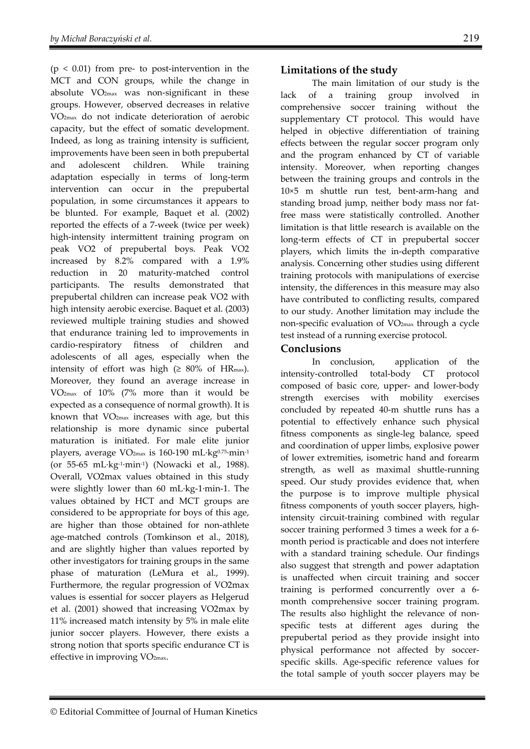$(p < 0.01)$  from pre- to post-intervention in the MCT and CON groups, while the change in absolute VO2max was non-significant in these groups. However, observed decreases in relative VO2max do not indicate deterioration of aerobic capacity, but the effect of somatic development. Indeed, as long as training intensity is sufficient, improvements have been seen in both prepubertal and adolescent children. While training adaptation especially in terms of long-term intervention can occur in the prepubertal population, in some circumstances it appears to be blunted. For example, Baquet et al. (2002) reported the effects of a 7-week (twice per week) high-intensity intermittent training program on peak VO2 of prepubertal boys. Peak VO2 increased by 8.2% compared with a 1.9% reduction in 20 maturity-matched control participants. The results demonstrated that prepubertal children can increase peak VO2 with high intensity aerobic exercise. Baquet et al. (2003) reviewed multiple training studies and showed that endurance training led to improvements in cardio-respiratory fitness of children and adolescents of all ages, especially when the intensity of effort was high  $(\geq 80\%$  of HR<sub>max</sub>). Moreover, they found an average increase in VO2max of 10% (7% more than it would be expected as a consequence of normal growth). It is known that  $VO<sub>2max</sub>$  increases with age, but this relationship is more dynamic since pubertal maturation is initiated. For male elite junior players, average VO<sub>2max</sub> is 160-190 mL⋅kg<sup>0.75</sup>⋅min<sup>-1</sup> (or 55-65 mL∙kg-1∙min-1) (Nowacki et al., 1988). Overall, VO2max values obtained in this study were slightly lower than 60 mL∙kg-1∙min-1. The values obtained by HCT and MCT groups are considered to be appropriate for boys of this age, are higher than those obtained for non-athlete age-matched controls (Tomkinson et al., 2018), and are slightly higher than values reported by other investigators for training groups in the same phase of maturation (LeMura et al., 1999). Furthermore, the regular progression of VO2max values is essential for soccer players as Helgerud et al. (2001) showed that increasing VO2max by 11% increased match intensity by 5% in male elite junior soccer players. However, there exists a strong notion that sports specific endurance CT is effective in improving VO2max.

# **Limitations of the study**

The main limitation of our study is the lack of a training group involved in comprehensive soccer training without the supplementary CT protocol. This would have helped in objective differentiation of training effects between the regular soccer program only and the program enhanced by CT of variable intensity. Moreover, when reporting changes between the training groups and controls in the 10×5 m shuttle run test, bent-arm-hang and standing broad jump, neither body mass nor fatfree mass were statistically controlled. Another limitation is that little research is available on the long-term effects of CT in prepubertal soccer players, which limits the in-depth comparative analysis. Concerning other studies using different training protocols with manipulations of exercise intensity, the differences in this measure may also have contributed to conflicting results, compared to our study. Another limitation may include the non-specific evaluation of VO2max through a cycle test instead of a running exercise protocol.

# **Conclusions**

In conclusion, application of the intensity-controlled total-body CT protocol composed of basic core, upper- and lower-body strength exercises with mobility exercises concluded by repeated 40-m shuttle runs has a potential to effectively enhance such physical fitness components as single-leg balance, speed and coordination of upper limbs, explosive power of lower extremities, isometric hand and forearm strength, as well as maximal shuttle-running speed. Our study provides evidence that, when the purpose is to improve multiple physical fitness components of youth soccer players, highintensity circuit-training combined with regular soccer training performed 3 times a week for a 6 month period is practicable and does not interfere with a standard training schedule. Our findings also suggest that strength and power adaptation is unaffected when circuit training and soccer training is performed concurrently over a 6 month comprehensive soccer training program. The results also highlight the relevance of nonspecific tests at different ages during the prepubertal period as they provide insight into physical performance not affected by soccerspecific skills. Age-specific reference values for the total sample of youth soccer players may be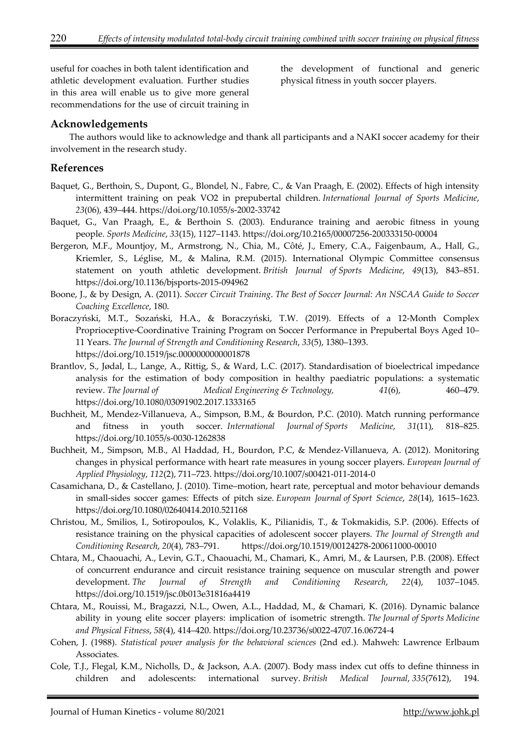useful for coaches in both talent identification and athletic development evaluation. Further studies in this area will enable us to give more general recommendations for the use of circuit training in

the development of functional and generic physical fitness in youth soccer players.

## **Acknowledgements**

The authors would like to acknowledge and thank all participants and a NAKI soccer academy for their involvement in the research study.

## **References**

- Baquet, G., Berthoin, S., Dupont, G., Blondel, N., Fabre, C., & Van Praagh, E. (2002). Effects of high intensity intermittent training on peak VO2 in prepubertal children. *International Journal of Sports Medicine*, *23*(06), 439–444. https://doi.org/10.1055/s-2002-33742
- Baquet, G., Van Praagh, E., & Berthoin S. (2003). Endurance training and aerobic fitness in young people. *Sports Medicine*, *33*(15), 1127–1143. https://doi.org/10.2165/00007256-200333150-00004
- Bergeron, M.F., Mountjoy, M., Armstrong, N., Chia, M., Côté, J., Emery, C.A., Faigenbaum, A., Hall, G., Kriemler, S., Léglise, M., & Malina, R.M. (2015). International Olympic Committee consensus statement on youth athletic development. *British Journal of Sports Medicine*, *49*(13), 843–851. https://doi.org/10.1136/bjsports-2015-094962
- Boone, J., & by Design, A. (2011). *Soccer Circuit Training*. *The Best of Soccer Journal: An NSCAA Guide to Soccer Coaching Excellence*, 180.
- Boraczyński, M.T., Sozański, H.A., & Boraczyński, T.W. (2019). Effects of a 12-Month Complex Proprioceptive-Coordinative Training Program on Soccer Performance in Prepubertal Boys Aged 10– 11 Years. *The Journal of Strength and Conditioning Research*, *33*(5), 1380–1393. https://doi.org/10.1519/jsc.0000000000001878
- Brantlov, S., Jødal, L., Lange, A., Rittig, S., & Ward, L.C. (2017). Standardisation of bioelectrical impedance analysis for the estimation of body composition in healthy paediatric populations: a systematic review. *The Journal of Medical Engineering & Technology, 41*(6), 460–479. https://doi.org/10.1080/03091902.2017.1333165
- Buchheit, M., Mendez-Villanueva, A., Simpson, B.M., & Bourdon, P.C. (2010). Match running performance and fitness in youth soccer. *International Journal of Sports Medicine*, *31*(11), 818–825. https://doi.org/10.1055/s-0030-1262838
- Buchheit, M., Simpson, M.B., Al Haddad, H., Bourdon, P.C, & Mendez-Villanueva, A. (2012). Monitoring changes in physical performance with heart rate measures in young soccer players. *European Journal of Applied Physiology*, *112*(2), 711–723. https://doi.org/10.1007/s00421-011-2014-0
- Casamichana, D., & Castellano, J. (2010). Time–motion, heart rate, perceptual and motor behaviour demands in small-sides soccer games: Effects of pitch size. *European Journal of Sport Science*, *28*(14), 1615–1623. https://doi.org/10.1080/02640414.2010.521168
- Christou, M., Smilios, I., Sotiropoulos, K., Volaklis, K., Pilianidis, T., & Tokmakidis, S.P. (2006). Effects of resistance training on the physical capacities of adolescent soccer players. *The Journal of Strength and Conditioning Research*, *20*(4), 783–791. https://doi.org/10.1519/00124278-200611000-00010
- Chtara, M., Chaouachi, A., Levin, G.T., Chaouachi, M., Chamari, K., Amri, M., & Laursen, P.B. (2008). Effect of concurrent endurance and circuit resistance training sequence on muscular strength and power development. *The Journal of Strength and Conditioning Research*, *22*(4), 1037–1045. https://doi.org/10.1519/jsc.0b013e31816a4419
- Chtara, M., Rouissi, M., Bragazzi, N.L., Owen, A.L., Haddad, M., & Chamari, K. (2016). Dynamic balance ability in young elite soccer players: implication of isometric strength. *The Journal of Sports Medicine and Physical Fitness*, *58*(4), 414–420. https://doi.org/10.23736/s0022-4707.16.06724-4
- Cohen, J. (1988). *Statistical power analysis for the behavioral sciences* (2nd ed.). Mahweh: Lawrence Erlbaum Associates.
- Cole, T.J., Flegal, K.M., Nicholls, D., & Jackson, A.A. (2007). Body mass index cut offs to define thinness in children and adolescents: international survey. *British Medical Journal*, *335*(7612), 194.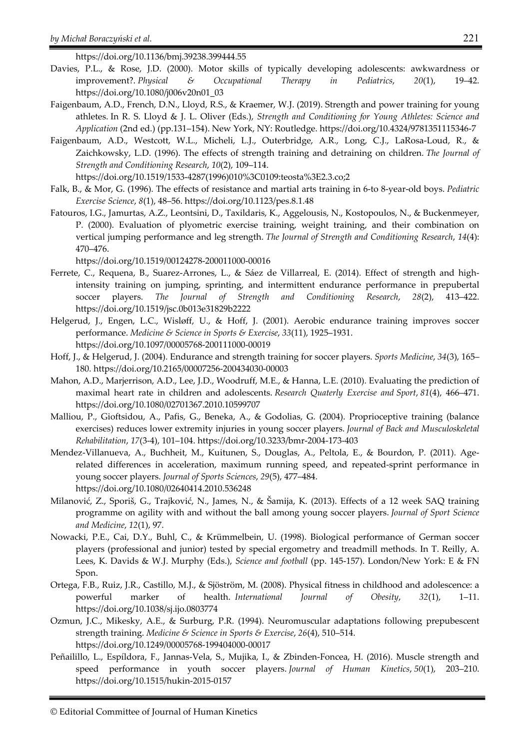https://doi.org/10.1136/bmj.39238.399444.55

- Davies, P.L., & Rose, J.D. (2000). Motor skills of typically developing adolescents: awkwardness or improvement?. *Physical & Occupational Therapy in Pediatrics*, *20*(1), 19–42. https://doi.org/10.1080/j006v20n01\_03
- Faigenbaum, A.D., French, D.N., Lloyd, R.S., & Kraemer, W.J. (2019). Strength and power training for young athletes. In R. S. Lloyd & J. L. Oliver (Eds.), *Strength and Conditioning for Young Athletes: Science and Application* (2nd ed.) (pp.131–154). New York, NY: Routledge. https://doi.org/10.4324/9781351115346-7
- Faigenbaum, A.D., Westcott, W.L., Micheli, L.J., Outerbridge, A.R., Long, C.J., LaRosa-Loud, R., & Zaichkowsky, L.D. (1996). The effects of strength training and detraining on children. *The Journal of Strength and Conditioning Research*, *10*(2), 109–114.
- https://doi.org/10.1519/1533-4287(1996)010%3C0109:teosta%3E2.3.co;2 Falk, B., & Mor, G. (1996). The effects of resistance and martial arts training in 6-to 8-year-old boys. *Pediatric* 
	- *Exercise Science*, *8*(1), 48–56. https://doi.org/10.1123/pes.8.1.48
- Fatouros, I.G., Jamurtas, A.Z., Leontsini, D., Taxildaris, K., Aggelousis, N., Kostopoulos, N., & Buckenmeyer, P. (2000). Evaluation of plyometric exercise training, weight training, and their combination on vertical jumping performance and leg strength. *The Journal of Strength and Conditioning Research*, *14*(4): 470–476.

https://doi.org/10.1519/00124278-200011000-00016

- Ferrete, C., Requena, B., Suarez-Arrones, L., & Sáez de Villarreal, E. (2014). Effect of strength and highintensity training on jumping, sprinting, and intermittent endurance performance in prepubertal soccer players. *The Journal of Strength and Conditioning Research*, *28*(2), 413–422. https://doi.org/10.1519/jsc.0b013e31829b2222
- Helgerud, J., Engen, L.C., Wisløff, U., & Hoff, J. (2001). Aerobic endurance training improves soccer performance. *Medicine & Science in Sports & Exercise*, *33*(11), 1925–1931. https://doi.org/10.1097/00005768-200111000-00019
- Hoff, J., & Helgerud, J. (2004). Endurance and strength training for soccer players. *Sports Medicine*, *34*(3), 165– 180. https://doi.org/10.2165/00007256-200434030-00003
- Mahon, A.D., Marjerrison, A.D., Lee, J.D., Woodruff, M.E., & Hanna, L.E. (2010). Evaluating the prediction of maximal heart rate in children and adolescents. *Research Quaterly Exercise and Sport*, *81*(4), 466–471. https://doi.org/10.1080/02701367.2010.10599707
- Malliou, P., Gioftsidou, A., Pafis, G., Beneka, A., & Godolias, G. (2004). Proprioceptive training (balance exercises) reduces lower extremity injuries in young soccer players. *Journal of Back and Musculoskeletal Rehabilitation*, *17*(3-4), 101–104. https://doi.org/10.3233/bmr-2004-173-403
- Mendez-Villanueva, A., Buchheit, M., Kuitunen, S., Douglas, A., Peltola, E., & Bourdon, P. (2011). Agerelated differences in acceleration, maximum running speed, and repeated-sprint performance in young soccer players. *Journal of Sports Sciences*, *29*(5), 477–484. https://doi.org/10.1080/02640414.2010.536248
- Milanović, Z., Sporiš, G., Trajković, N., James, N., & Šamija, K. (2013). Effects of a 12 week SAQ training programme on agility with and without the ball among young soccer players. *Journal of Sport Science and Medicine*, *12*(1), 97.
- Nowacki, P.E., Cai, D.Y., Buhl, C., & Krümmelbein, U. (1998). Biological performance of German soccer players (professional and junior) tested by special ergometry and treadmill methods. In T. Reilly, A. Lees, K. Davids & W.J. Murphy (Eds.), *Science and football* (pp. 145-157). London/New York: E & FN Spon.
- Ortega, F.B., Ruiz, J.R., Castillo, M.J., & Sjöström, M. (2008). Physical fitness in childhood and adolescence: a powerful marker of health. *International Journal of Obesity*, *32*(1), 1–11. https://doi.org/10.1038/sj.ijo.0803774
- Ozmun, J.C., Mikesky, A.E., & Surburg, P.R. (1994). Neuromuscular adaptations following prepubescent strength training. *Medicine & Science in Sports & Exercise*, *26*(4), 510–514. https://doi.org/10.1249/00005768-199404000-00017
- Peñailillo, L., Espíldora, F., Jannas-Vela, S., Mujika, I., & Zbinden-Foncea, H. (2016). Muscle strength and speed performance in youth soccer players. *Journal of Human Kinetics*, *50*(1), 203–210. https://doi.org/10.1515/hukin-2015-0157